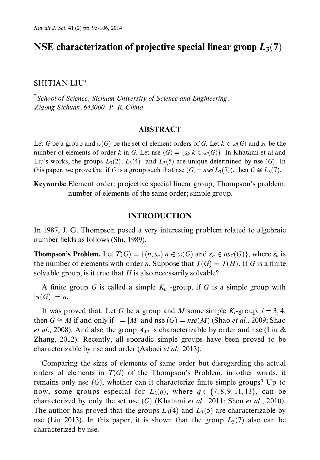### NSE characterization of projective special linear group  $L_3(7)$

#### **SHITIAN LIU\***

\*School of Science, Sichuan University of Science and Engineering, Zigong Sichuan, 643000, P. R. China

#### **ABSTRACT**

Let G be a group and  $\omega(G)$  be the set of element orders of G. Let  $k \in \omega(G)$  and  $s_k$  be the number of elements of order k in G. Let nse  $(G) = \{s_k | k \in \omega(G)\}\)$ . In Khatami et al and Liu's works, the groups  $L_3(2)$ ,  $L_3(4)$  and  $L_3(5)$  are unique determined by nse (G). In this paper, we prove that if G is a group such that nse  $(G) = nse(L_3(7))$ , then  $G \cong L_3(7)$ .

**Keywords:** Element order; projective special linear group; Thompson's problem; number of elements of the same order; simple group.

#### **INTRODUCTION**

In 1987, J. G. Thompson posed a very interesting problem related to algebraic number fields as follows (Shi, 1989).

**Thompson's Problem.** Let  $T(G) = \{(n, s_n)|n \in \omega(G) \text{ and } s_n \in nse(G)\}\)$ , where  $s_n$  is the number of elements with order *n*. Suppose that  $T(G) = T(H)$ . If G is a finite solvable group, is it true that  $H$  is also necessarily solvable?

A finite group G is called a simple  $K_n$  -group, if G is a simple group with  $|\pi(G)|=n.$ 

It was proved that: Let G be a group and M some simple  $K_i$ -group,  $i = 3, 4$ , then  $G \cong M$  if and only if  $| = |M|$  and nse  $(G) = nse(M)$  (Shao *et al.*, 2009; Shao et al., 2008). And also the group  $A_{12}$  is characterizable by order and nse (Liu & Zhang, 2012). Recently, all sporadic simple groups have been proved to be characterizable by nse and order (Asboei et al., 2013).

Comparing the sizes of elements of same order but disregarding the actual orders of elements in  $T(G)$  of the Thompson's Problem, in other words, it remains only nse  $(G)$ , whether can it characterize finite simple groups? Up to now, some groups especial for  $L_2(q)$ , where  $q \in \{7, 8, 9, 11, 13\}$ , can be characterized by only the set nse  $(G)$  (Khatami et al., 2011; Shen et al., 2010). The author has proved that the groups  $L_3(4)$  and  $L_3(5)$  are characterizable by nse (Liu 2013). In this paper, it is shown that the group  $L_3(7)$  also can be characterized by nse.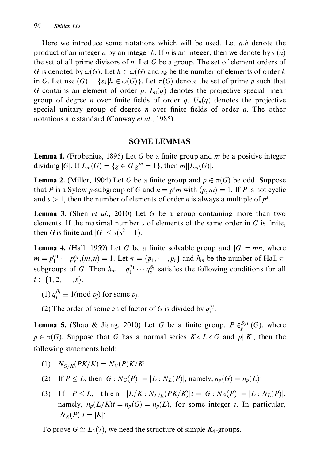Here we introduce some notations which will be used. Let a,b denote the product of an integer a by an integer b. If n is an integer, then we denote by  $\pi(n)$ the set of all prime divisors of n. Let G be a group. The set of element orders of G is denoted by  $\omega(G)$ . Let  $k \in \omega(G)$  and  $s_k$  be the number of elements of order k in G. Let nse  $(G) = \{s_k | k \in \omega(G)\}\$ . Let  $\pi(G)$  denote the set of prime p such that G contains an element of order p.  $L_n(q)$  denotes the projective special linear group of degree *n* over finite fields of order *q*.  $U_n(q)$  denotes the projective special unitary group of degree *n* over finite fields of order *q*. The other notations are standard (Conway *et al.*, 1985).

#### **SOME LEMMAS**

**Lemma 1.** (Frobenius, 1895) Let G be a finite group and m be a positive integer dividing |G|. If  $L_m(G) = \{ g \in G | g^m = 1 \}$ , then  $m | L_m(G) |$ .

**Lemma 2.** (Miller, 1904) Let G be a finite group and  $p \in \pi(G)$  be odd. Suppose that P is a Sylow p-subgroup of G and  $n = p<sup>s</sup>m$  with  $(p, m) = 1$ . If P is not cyclic and  $s > 1$ , then the number of elements of order *n* is always a multiple of  $p<sup>s</sup>$ .

**Lemma 3.** (Shen *et al.*, 2010) Let G be a group containing more than two elements. If the maximal number s of elements of the same order in  $G$  is finite, then G is finite and  $|G| \le s(s^2 - 1)$ .

**Lemma 4.** (Hall, 1959) Let G be a finite solvable group and  $|G| = mn$ , where  $m = p_1^{\alpha_1} \cdots p_r^{\alpha_r}, (m, n) = 1$ . Let  $\pi = \{p_1, \cdots, p_r\}$  and  $h_m$  be the number of Hall  $\pi$ subgroups of G. Then  $h_m = q_1^{\beta_1} \cdots q_s^{\beta_s}$  satisfies the following conditions for all  $i \in \{1, 2, \cdots, s\}$ :

- (1)  $q_i^{\beta_i} \equiv 1 \pmod{p_i}$  for some  $p_i$ .
- (2) The order of some chief factor of G is divided by  $q_i^{\beta_i}$ .

**Lemma 5.** (Shao & Jiang, 2010) Let G be a finite group,  $P \in_{n}^{Syl}(G)$ , where  $p \in \pi(G)$ . Suppose that G has a normal series  $K \triangleleft L \triangleleft G$  and  $p||K|$ , then the following statements hold:

- (1)  $N_{G/K}(PK/K) = N_G(P)K/K$
- (2) If  $P \le L$ , then  $|G : N_G(P)| = |L : N_L(P)|$ , namely,  $n_p(G) = n_p(L)$ .
- (3) If  $P \leq L$ , then  $|L/K : N_{L/K}(PK/K)|t = |G : N_G(P)| = |L : N_L(P)|$ , namely,  $n_p(L/K)t = n_p(G) = n_p(L)$ , for some integer t. In particular,  $|N_K(P)|t = |K|$

To prove  $G \cong L_3(7)$ , we need the structure of simple  $K_4$ -groups.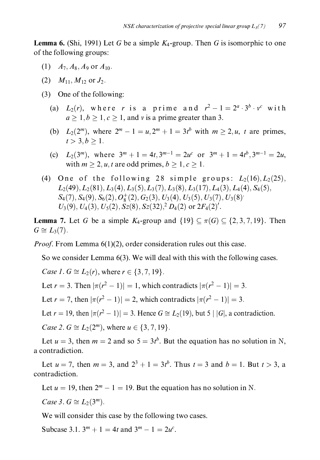**Lemma 6.** (Shi, 1991) Let G be a simple  $K_4$ -group. Then G is isomorphic to one of the following groups:

- (1)  $A_7, A_8, A_9$  or  $A_{10}$ .
- (2)  $M_{11}$ ,  $M_{12}$  or  $J_2$ .
- (3) One of the following:
	- (a)  $L_2(r)$ , where r is a prime and  $r^2 1 = 2^a \cdot 3^b \cdot v^c$  with  $a \geq 1, b \geq 1, c \geq 1$ , and v is a prime greater than 3.
	- (b)  $L_2(2^m)$ , where  $2^m 1 = u$ ,  $2^m + 1 = 3t^b$  with  $m > 2$ , u, t are primes,  $t > 3, b > 1.$
	- (c)  $L_2(3^m)$ , where  $3^m + 1 = 4t, 3^{m-1} = 2u^c$  or  $3^m + 1 = 4t^b, 3^{m-1} = 2u$ . with  $m > 2$ , u, t are odd primes,  $b > 1$ ,  $c > 1$ .
- (4) One of the following 28 simple groups:  $L_2(16)$ ,  $L_2(25)$ ,  $L_2(49)$ ,  $L_2(81)$ ,  $L_3(4)$ ,  $L_3(5)$ ,  $L_3(7)$ ,  $L_3(8)$ ,  $L_3(17)$ ,  $L_4(3)$ ,  $L_4(4)$ ,  $S_4(5)$ ,  $S_4(7), S_4(9), S_6(2), O_8^+(2), G_2(3), U_3(4), U_3(5), U_3(7), U_3(8)$  $U_3(9)$ ,  $U_4(3)$ ,  $U_5(2)$ ,  $S_2(8)$ ,  $S_2(32)$ ,  $D_4(2)$  or  $2F_4(2)'$ .

**Lemma 7.** Let G be a simple  $K_4$ -group and  $\{19\} \subseteq \pi(G) \subseteq \{2, 3, 7, 19\}$ . Then  $G \cong L_3(7)$ .

*Proof.* From Lemma 6(1)(2), order consideration rules out this case.

So we consider Lemma  $6(3)$ . We will deal with this with the following cases.

*Case 1. G*  $\cong$  *L*<sub>2</sub>(*r*), where *r*  $\in$  {3, 7, 19}.

Let  $r = 3$ . Then  $|\pi(r^2 - 1)| = 1$ , which contradicts  $|\pi(r^2 - 1)| = 3$ .

Let  $r = 7$ , then  $|\pi(r^2 - 1)| = 2$ , which contradicts  $|\pi(r^2 - 1)| = 3$ .

Let  $r = 19$ , then  $|\pi(r^2 - 1)| = 3$ . Hence  $G \cong L_2(19)$ , but  $5 | |G|$ , a contradiction.

*Case 2. G*  $\cong$  *L*<sub>2</sub>(2<sup>m</sup>), where  $u \in \{3, 7, 19\}$ .

Let  $u = 3$ , then  $m = 2$  and so  $5 = 3t^b$ . But the equation has no solution in N, a contradiction.

Let  $u = 7$ , then  $m = 3$ , and  $2^3 + 1 = 3t^b$ . Thus  $t = 3$  and  $b = 1$ . But  $t > 3$ , a contradiction.

Let  $u = 19$ , then  $2^m - 1 = 19$ . But the equation has no solution in N.

Case 3.  $G \cong L_2(3^m)$ .

We will consider this case by the following two cases.

Subcase 3.1.  $3^m + 1 = 4t$  and  $3^m - 1 = 2u^c$ .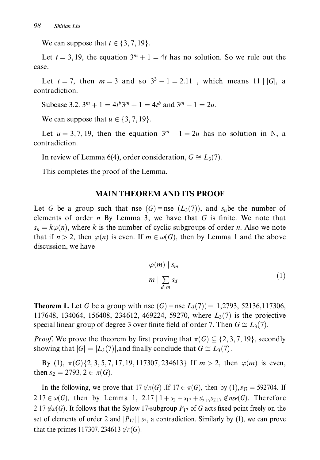We can suppose that  $t \in \{3, 7, 19\}$ .

Let  $t = 3, 19$ , the equation  $3<sup>m</sup> + 1 = 4t$  has no solution. So we rule out the case.

Let  $t = 7$ , then  $m = 3$  and so  $3^3 - 1 = 2.11$ , which means 11 | |G|, a contradiction.

Subcase 3.2.  $3^m + 1 = 4t^b 3^m + 1 = 4t^b$  and  $3^m - 1 = 2u$ .

We can suppose that  $u \in \{3, 7, 19\}$ .

Let  $u = 3, 7, 19$ , then the equation  $3<sup>m</sup> - 1 = 2u$  has no solution in N, a contradiction.

In review of Lemma 6(4), order consideration,  $G \cong L_3(7)$ .

This completes the proof of the Lemma.

#### **MAIN THEOREM AND ITS PROOF**

Let G be a group such that use  $(G)$ =nse  $(L_3(7))$ , and s<sub>n</sub>be the number of elements of order  $n$  By Lemma 3, we have that  $G$  is finite. We note that  $s_n = k\varphi(n)$ , where k is the number of cyclic subgroups of order n. Also we note that if  $n > 2$ , then  $\varphi(n)$  is even. If  $m \in \omega(G)$ , then by Lemma 1 and the above discussion, we have

$$
\varphi(m) \mid s_m
$$
  
\n
$$
m \mid \sum_{d \mid m} s_d
$$
\n(1)

**Theorem 1.** Let G be a group with nse  $(G)$  = nse  $L_3(7)$  = 1,2793, 52136,117306, 117648, 134064, 156408, 234612, 469224, 59270, where  $L_3(7)$  is the projective special linear group of degree 3 over finite field of order 7. Then  $G \cong L_3(7)$ .

*Proof.* We prove the theorem by first proving that  $\pi(G) \subseteq \{2, 3, 7, 19\}$ , secondly showing that  $|G| = |L_3(7)|$ , and finally conclude that  $G \cong L_3(7)$ .

By (1),  $\pi(G)\{2, 3, 5, 7, 17, 19, 117307, 234613\}$  If  $m > 2$ , then  $\varphi(m)$  is even, then  $s_2 = 2793, 2 \in \pi(G)$ .

In the following, we prove that  $17 \notin \pi(G)$ . If  $17 \in \pi(G)$ , then by  $(1), s_{17} = 592704$ . If 2.17  $\in \omega(G)$ , then by Lemma 1, 2.17  $1 + s_2 + s_{17} + s'_{217} + s_{217} \notin nse(G)$ . Therefore 2.17  $\neq \omega(G)$ . It follows that the Sylow 17-subgroup  $P_{17}$  of G acts fixed point freely on the set of elements of order 2 and  $|P_{17}| \, |S_2$ , a contradiction. Similarly by (1), we can prove that the primes 117307, 234613  $\not\in \pi(G)$ .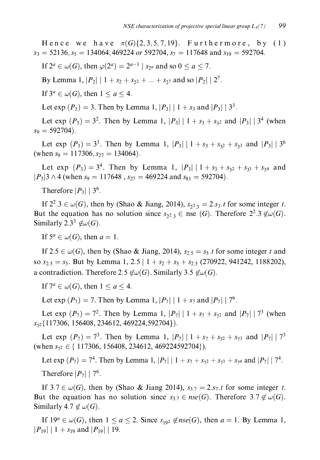Hence we have  $\pi(G)\{2,3,5,7,19\}$ . Furthermore, by  $(1)$  $s_3 = 52136$ ,  $s_5 = 134064$ , 469224 or 592704,  $s_7 = 117648$  and  $s_{19} = 592704$ .

If  $2^a \in \omega(G)$ , then  $\varphi(2^a) = 2^{a-1}$  |  $s_{2^a}$  and so  $0 \le a \le 7$ .

By Lemma 1,  $|P_2|$  | 1 +  $s_2$  +  $s_{2}$  + ... +  $s_{2}$  and so  $|P_2|$  | 2<sup>7</sup>.

If  $3^a \in \omega(G)$ , then  $1 \le a \le 4$ .

Let exp  $(P_3) = 3$ . Then by Lemma 1,  $|P_3| | 1 + s_3$  and  $|P_3| | 3^3$ .

Let exp  $(P_3) = 3^2$ . Then by Lemma 1,  $|P_3| | 1 + s_3 + s_{32}$  and  $|P_3| | 3^4$  (when  $s_9 = 592704$ .

Let exp  $(P_3) = 3^3$ . Then by Lemma 1,  $|P_3| | 1 + s_3 + s_{32} + s_{33}$  and  $|P_3| | 3^6$ (when  $s_9 = 117306$ ,  $s_{27} = 134064$ ).

Let exp  $(P_3) = 3^4$ . Then by Lemma 1,  $|P_3| | 1 + s_3 + s_{3^2} + s_{3^3} + s_{3^4}$  and  $|P_3|3 \wedge 4$  (when  $s_9 = 117648$ ,  $s_{27} = 469224$  and  $s_{81} = 592704$ ).

Therefore  $|P_3|$  | 3<sup>6</sup>.

If  $2^2 \cdot 3 \in \omega(G)$ , then by (Shao & Jiang, 2014),  $s_{23} = 2 \cdot s_3 \cdot t$  for some integer t. But the equation has no solution since  $s_{2,3} \in \text{nse } (G)$ . Therefore  $2^2 \cdot 3 \notin \omega(G)$ . Similarly 2.3<sup>3</sup>  $\notin \omega(G)$ .

If  $5^a \in \omega(G)$ , then  $a = 1$ .

If  $2.5 \in \omega(G)$ , then by (Shao & Jiang, 2014),  $s_{2.5} = s_5.t$  for some integer t and so  $s_{2,5} = s_5$ . But by Lemma 1, 2.5 |  $1 + s_2 + s_5 + s_{2,5}$  (270922, 941242, 1188202), a contradiction. Therefore 2.5  $\notin \omega(G)$ . Similarly 3.5  $\notin \omega(G)$ .

If  $7^a \in \omega(G)$ , then  $1 \le a \le 4$ .

Let exp  $(P_7) = 7$ . Then by Lemma 1,  $|P_7| | 1 + s_7$  and  $|P_7| | 7^6$ .

Let exp  $(P_7) = 7^2$ . Then by Lemma 1,  $|P_7| | 1 + s_7 + s_{72}$  and  $|P_7| | 7^3$  (when  $s_{72}$ {117306, 156408, 234612, 469224, 592704}).

Let exp  $(P_7) = 7^3$ . Then by Lemma 1,  $|P_7| | 1 + s_7 + s_{72} + s_{73}$  and  $|P_7| | 7^3$ (when  $s_{72} \in \{ 117306, 156408, 234612, 469224592704 \}$ ).

Let exp  $(P_7) = 7^4$ . Then by Lemma 1,  $|P_7| | 1 + s_7 + s_{72} + s_{73} + s_{74}$  and  $|P_7| | 7^4$ . Therefore  $|P_7| | 7^6$ .

If  $3.7 \in \omega(G)$ , then by (Shao & Jiang 2014),  $s_{3.7} = 2 \cdot s_7 \cdot t$  for some integer t. But the equation has no solution since  $s_{3.7} \in nse(G)$ . Therefore  $3.7 \notin \omega(G)$ . Similarly 4.7  $\notin \omega(G)$ .

If  $19^a \in \omega(G)$ , then  $1 \le a \le 2$ . Since  $s_{192} \notin nse(G)$ , then  $a = 1$ . By Lemma 1,  $|P_{19}|$  | 1 +  $s_{19}$  and  $|P_{19}|$  | 19.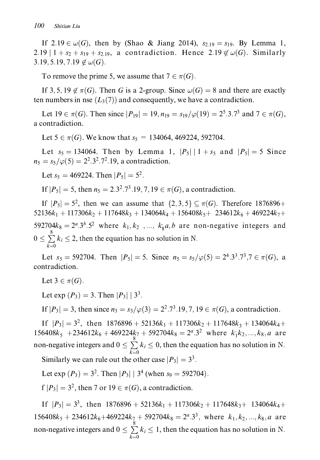If  $2.19 \in \omega(G)$ , then by (Shao & Jiang 2014),  $s_{2.19} = s_{19}$ . By Lemma 1, 2.19 |  $1 + s_2 + s_{19} + s_{2,19}$ , a contradiction. Hence  $2.19 \notin \omega(G)$ . Similarly 3.19, 5.19, 7.19  $\notin \omega(G)$ .

To remove the prime 5, we assume that  $7 \in \pi(G)$ .

If 3, 5, 19  $\notin \pi(G)$ . Then G is a 2-group. Since  $\omega(G) = 8$  and there are exactly ten numbers in nse  $(L_3(7))$  and consequently, we have a contradiction.

Let  $19 \in \pi(G)$ . Then since  $|P_{19}| = 19$ ,  $n_{19} = s_{19}/\varphi(19) = 2^5 \cdot 3 \cdot 7^3$  and  $7 \in \pi(G)$ . a contradiction.

Let  $5 \in \pi(G)$ . We know that  $s_5 = 134064$ , 469224, 592704.

Let  $s_5 = 134064$ . Then by Lemma 1,  $|P_5| | 1 + s_5$  and  $|P_5| = 5$  Since  $n_5 = s_5/\varphi(5) = 2^2 \cdot 3^2 \cdot 7^2 \cdot 19$ , a contradiction.

Let  $s_5 = 469224$ . Then  $|P_5| = 5^2$ .

If  $|P_5| = 5$ , then  $n_5 = 2.3^2 \cdot 7^3 \cdot 19$ , 7, 19  $\in \pi(G)$ , a contradiction.

If  $|P_5| = 5^2$ , then we can assume that  $\{2, 3, 5\} \subseteq \pi(G)$ . Therefore 1876896+  $52136k_1 + 117306k_2 + 117648k_3 + 134064k_4 + 156408k_5 + 234612k_6 + 469224k_7 +$ 592704 $k_8 = 2^a \cdot 3^b \cdot 5^2$  where  $k_1, k_2, \ldots, k_8 a, b$  are non-negative integers and  $0 \le \sum_{i=1}^{6} k_i \le 2$ , then the equation has no solution in N.

Let  $s_5 = 592704$ . Then  $|P_5| = 5$ . Since  $n_5 = s_5/\varphi(5) = 2^4 \cdot 3^3 \cdot 7^3 \cdot 7 \in \pi(G)$ , a contradiction.

Let  $3 \in \pi(G)$ .

Let exp  $(P_3) = 3$ . Then  $|P_3| | 3^3$ .

If  $|P_3| = 3$ , then since  $n_3 = s_3/\varphi(3) = 2^2 \cdot 7^3 \cdot 19$ , 7, 19  $\in \pi(G)$ , a contradiction.

If  $|P_3| = 3^2$ , then  $1876896 + 52136k_1 + 117306k_2 + 117648k_3 + 134064k_4 +$  $156408k_5 + 234612k_6 + 469224k_7 + 592704k_8 = 2^a.3^2$  where  $k_1 k_2, ..., k_8, a$  are non-negative integers and  $0 \le \sum_{k=0}^{8} k_i \le 0$ , then the equation has no solution in N.

Similarly we can rule out the other case  $|P_3| = 3^3$ .

Let exp  $(P_3) = 3^2$ . Then  $|P_3| | 3^4$  (when  $s_9 = 592704$ ).

 $f |P_3| = 3^2$ , then 7 or  $19 \in \pi(G)$ , a contradiction.

If  $|P_3| = 3^3$ , then  $1876896 + 52136k_1 + 117306k_2 + 117648k_3 + 134064k_4 +$  $156408k_5 + 234612k_6 + 469224k_7 + 592704k_8 = 2^a \cdot 3^3$ , where  $k_1, k_2, ..., k_8, a$  are non-negative integers and  $0 \le \sum_{k=0}^{8} k_i \le 1$ , then the equation has no solution in N.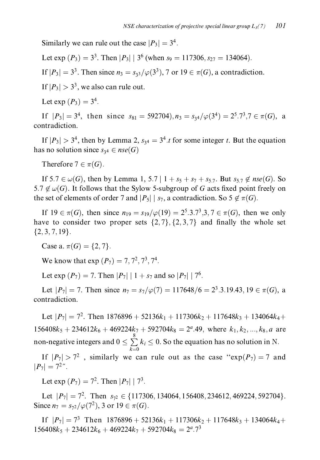Similarly we can rule out the case  $|P_3| = 3^4$ .

Let exp  $(P_3) = 3^3$ . Then  $|P_3| | 3^6$  (when  $s_9 = 117306$ ,  $s_{27} = 134064$ ).

If  $|P_3| = 3^3$ . Then since  $n_3 = s_{3/2} / \varphi(3^3)$ , 7 or 19  $\in \pi(G)$ , a contradiction.

If  $|P_3| > 3^3$ , we also can rule out.

Let exp  $(P_3) = 3^4$ .

If  $|P_3| = 3^4$ , then since  $s_{81} = 592704$ ,  $n_3 = s_{34}/\varphi(3^4) = 2^5 \cdot 7^3 \cdot 7 \in \pi(G)$ , a contradiction.

If  $|P_3| > 3^4$ , then by Lemma 2,  $s_{34} = 3^4 \cdot t$  for some integer t. But the equation has no solution since  $s_{34} \in nse(G)$ 

Therefore  $7 \in \pi(G)$ .

If  $5.7 \in \omega(G)$ , then by Lemma 1, 5.7 |  $1 + s_5 + s_7 + s_5$ . But  $s_5 \neq nse(G)$ . So 5.7  $\notin \omega(G)$ . It follows that the Sylow 5-subgroup of G acts fixed point freely on the set of elements of order 7 and  $|P_5| \mid s_7$ , a contradiction. So  $5 \notin \pi(G)$ .

If  $19 \in \pi(G)$ , then since  $n_{19} = s_{19}/\varphi(19) = 2^5 \cdot 3 \cdot 7^3 \cdot 3 \cdot 7 \in \pi(G)$ , then we only have to consider two proper sets  $\{2, 7\}, \{2, 3, 7\}$  and finally the whole set  $\{2, 3, 7, 19\}.$ 

Case a.  $\pi(G) = \{2, 7\}.$ 

We know that  $\exp(P_7) = 7, 7^2, 7^3, 7^4$ .

Let exp  $(P_7) = 7$ . Then  $|P_7| | 1 + s_7$  and so  $|P_7| | 7^6$ .

Let  $|P_7| = 7$ . Then since  $n_7 = s_7/\varphi(7) = 117648/6 = 2^3 \cdot 3.19.43$ ,  $19 \in \pi(G)$ , a contradiction.

Let  $|P_7| = 7^2$ . Then  $1876896 + 52136k_1 + 117306k_2 + 117648k_3 + 134064k_4 +$  $156408k_5 + 234612k_6 + 469224k_7 + 592704k_8 = 2^a.49$ , where  $k_1, k_2, ..., k_8, a$  are non-negative integers and  $0 \le \sum_{i=0}^{8} k_i \le 0$ . So the equation has no solution in N.

If  $|P_7| > 7^2$ , similarly we can rule out as the case " $\exp(P_7) = 7$  and  $|P_7| = 7^{2}$ ".

Let exp  $(P_7) = 7^2$ . Then  $|P_7| | 7^3$ .

Let  $|P_7| = 7^2$ . Then  $s_{72} \in \{117306, 134064, 156408, 234612, 469224, 592704\}.$ Since  $n_7 = s_{72}/\varphi(7^2)$ , 3 or  $19 \in \pi(G)$ .

If  $|P_7| = 7^3$  Then  $1876896 + 52136k_1 + 117306k_2 + 117648k_3 + 134064k_4 +$  $156408k_5 + 234612k_6 + 469224k_7 + 592704k_8 = 2^a.7^3$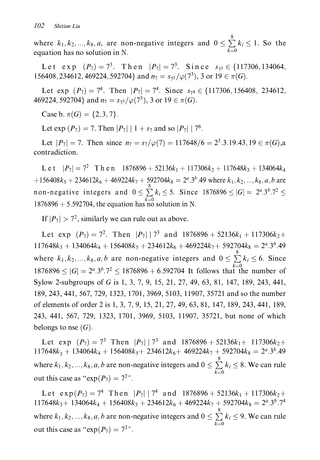where  $k_1, k_2, ..., k_8, a$ , are non-negative integers and  $0 \le \sum_{i=1}^{8} k_i \le 1$ . So the equation has no solution in N.

Let exp  $(P_7) = 7^3$ . Then  $|P_7| = 7^3$ . Since  $s_{73} \in \{117306, 134064,$ 156408, 234612, 469224, 592704} and  $n_7 = s_{73}/\varphi(7^3)$ , 3 or  $19 \in \pi(G)$ .

Let exp  $(P_7) = 7^4$ . Then  $|P_7| = 7^4$ . Since  $s_{74} \in \{117306, 156408, 234612,$ 469224, 592704} and  $n_7 = s_{73}/\varphi(7^3)$ , 3 or 19  $\in \pi(G)$ .

Case b.  $\pi(G) = \{2, 3, 7\}.$ 

Let exp  $(P_7) = 7$ . Then  $|P_7| | 1 + s_7$  and so  $|P_7| | 7^6$ .

Let  $|P_7| = 7$ . Then since  $n_7 = s_7/\varphi(7) = 117648/6 = 2^3 \cdot 3.19.43, 19 \in \pi(G)$ , a contradiction.

L e t  $|P_7| = 7^2$  T h e n  $1876896 + 52136k_1 + 117306k_2 + 117648k_3 + 134064k_4$ +156408 $k_5$  + 234612 $k_6$  + 469224 $k_7$  + 592704 $k_8$  = 2<sup>a</sup>.3<sup>b</sup>.49 where  $k_1, k_2, ..., k_8, a, b$  are non-negative integers and  $0 \le \sum_{i=1}^{8} k_i \le 5$ . Since 1876896  $\le |G| = 2^a \cdot 3^b \cdot 7^2 \le 1$ 1876896 + 5.592704, the equation has no solution in N.

If  $|P_7| > 7^2$ , similarly we can rule out as above.

Let exp  $(P_7) = 7^2$ . Then  $|P_7| | 7^3$  and  $1876896 + 52136k_1 + 117306k_2 +$  $117648k_3 + 134064k_4 + 156408k_5 + 234612k_6 + 469224k_7 + 592704k_8 = 2^a \cdot 3^b \cdot 49$ where  $k_1, k_2, ..., k_8, a, b$  are non-negative integers and  $0 \le \sum_{k=0}^{8} k_i \le 6$ . Since  $1876896 \leq |G| = 2^a \cdot 3^b \cdot 7^2 \leq 1876896 + 6 \cdot 592704$  It follows that the number of Sylow 2-subgroups of G is 1, 3, 7, 9, 15, 21, 27, 49, 63, 81, 147, 189, 243, 441, 189, 243, 441, 567, 729, 1323, 1701, 3969, 5103, 11907, 35721 and so the number of elements of order 2 is 1, 3, 7, 9, 15, 21, 27, 49, 63, 81, 147, 189, 243, 441, 189, 243, 441, 567, 729, 1323, 1701, 3969, 5103, 11907, 35721, but none of which belongs to nse  $(G)$ .

Let exp  $(P_7) = 7^3$  Then  $|P_7| | 7^3$  and  $1876896 + 52136k_1 + 117306k_2 +$  $117648k_3 + 134064k_4 + 156408k_5 + 234612k_6 + 469224k_7 + 592704k_8 = 2^a \cdot 3^b \cdot 49$ where  $k_1, k_2, ..., k_8, a, b$  are non-negative integers and  $0 \le \sum_{k=0}^{8} k_i \le 8$ . We can rule out this case as " $\exp(P_7) = 7^2$ ".

Let  $\exp(P_7) = 7^4$  Then  $|P_7| | 7^4$  and  $1876896 + 52136k_1 + 117306k_2 +$  $117648k_3 + 134064k_4 + 156408k_5 + 234612k_6 + 469224k_7 + 592704k_8 = 2^a \cdot 3^b \cdot 7^4$ where  $k_1, k_2, ..., k_8, a, b$  are non-negative integers and  $0 \le \sum_{i=8}^{8} k_i \le 9$ . We can rule out this case as " $\exp(P_7) = 7^{2}$ ".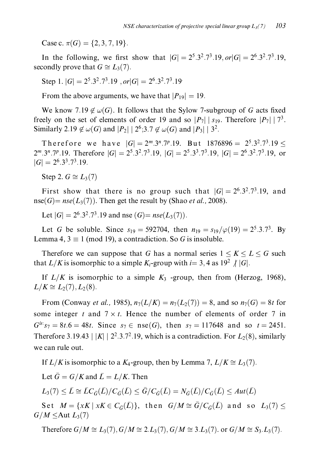Case c.  $\pi(G) = \{2, 3, 7, 19\}.$ 

In the following, we first show that  $|G| = 2^5 \cdot 3^2 \cdot 7^3 \cdot 19$ ,  $or |G| = 2^6 \cdot 3^2 \cdot 7^3 \cdot 19$ . secondly prove that  $G \cong L_3(7)$ .

Step 1.  $|G| = 2^5 \cdot 3^2 \cdot 7^3 \cdot 19$ ,  $or |G| = 2^6 \cdot 3^2 \cdot 7^3 \cdot 19$ 

From the above arguments, we have that  $|P_{19}| = 19$ .

We know 7.19  $\notin \omega(G)$ . It follows that the Sylow 7-subgroup of G acts fixed freely on the set of elements of order 19 and so  $|P_7| \, |S_{19}$ . Therefore  $|P_7| \, |7^3$ . Similarly 2.19  $\notin \omega(G)$  and  $|P_2| | 2^6$ ; 3.7  $\notin \omega(G)$  and  $|P_3| | 3^2$ .

Therefore we have  $|G| = 2^m \cdot 3^n \cdot 7^p \cdot 19$ . But  $1876896 = 2^5 \cdot 3^2 \cdot 7^3 \cdot 19 <$  $2^m \cdot 3^n \cdot 7^p \cdot 19$ . Therefore  $|G| = 2^5 \cdot 3^2 \cdot 7^3 \cdot 19$ ,  $|G| = 2^5 \cdot 3^3 \cdot 7^3 \cdot 19$ ,  $|G| = 2^6 \cdot 3^2 \cdot 7^3 \cdot 19$ , or  $|G| = 2^6 \cdot 3^3 \cdot 7^3 \cdot 19$ .

Step 2.  $G \cong L_3(7)$ 

First show that there is no group such that  $|G| = 2^6 \cdot 3^2 \cdot 7^3 \cdot 19$ , and  $nse(G) = nse(L_3(7))$ . Then get the result by (Shao *et al.*, 2008).

Let  $|G| = 2^6 \cdot 3^2 \cdot 7^3 \cdot 19$  and nse  $(G) = nse(L_3(7))$ .

Let G be soluble. Since  $s_{19} = 592704$ , then  $n_{19} = s_{19}/\varphi(19) = 2^5 \cdot 3 \cdot 7^3$ . By Lemma 4,  $3 \equiv 1 \pmod{19}$ , a contradiction. So G is insoluble.

Therefore we can suppose that G has a normal series  $1 \leq K \leq L \leq G$  such that  $L/K$  is isomorphic to a simple  $K_i$ -group with  $i=3,4$  as  $19^2 \nmid |G|$ .

If  $L/K$  is isomorphic to a simple  $K_3$  -group, then from (Herzog, 1968),  $L/K \cong L_2(7), L_2(8).$ 

From (Conway *et al.*, 1985),  $n_7(L/K) = n_7(L_2(7)) = 8$ , and so  $n_7(G) = 8t$  for some integer t and  $7 \times t$ . Hence the number of elements of order 7 in  $G^{is}$ :  $s_7 = 8t.6 = 48t$ . Since  $s_7 \in \text{nse}(G)$ , then  $s_7 = 117648$  and so  $t = 2451$ . Therefore 3.19.43 | |K| |  $2^2$ .3.7<sup>2</sup>.19, which is a contradiction. For  $L_2(8)$ , similarly we can rule out.

If  $L/K$  is isomorphic to a  $K_4$ -group, then by Lemma 7,  $L/K \cong L_3(7)$ .

Let  $\bar{G} = G/K$  and  $\bar{L} = L/K$ . Then

 $L_3(7) \leq \bar{L} \cong \bar{L}C_{\bar{G}}(\bar{L})/C_{\bar{G}}(\bar{L}) \leq \bar{G}/C_{\bar{G}}(\bar{L}) = N_{\bar{G}}(\bar{L})/C_{\bar{G}}(\bar{L}) \leq Aut(\bar{L})$ 

Set  $M = \{xK \mid xK \in C_{\bar{G}}(\bar{L})\}\$ , then  $G/M \cong \bar{G}/C_{\bar{G}}(\bar{L})$  and so  $L_3(7) \leq$  $G/M \leq$ Aut  $L_3(7)$ 

Therefore  $G/M \cong L_3(7)$ ,  $G/M \cong 2.L_3(7)$ ,  $G/M \cong 3.L_3(7)$ . or  $G/M \cong S_3.L_3(7)$ .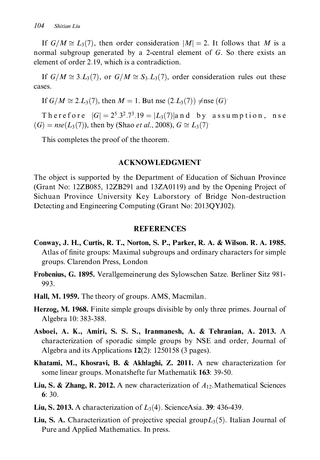If  $G/M \cong L_3(7)$ , then order consideration  $|M| = 2$ . It follows that M is a normal subgroup generated by a 2-central element of G. So there exists an element of order 2.19, which is a contradiction.

If  $G/M \cong 3.L_3(7)$ , or  $G/M \cong S_3.L_3(7)$ , order consideration rules out these cases.

If  $G/M \cong 2.L_3(7)$ , then  $M = 1$ . But nse  $(2.L_3(7)) \neq$ nse  $(G)$ .

Therefore  $|G| = 2^5 \cdot 3^2 \cdot 7^3 \cdot 19 = |L_3(7)|$  and by assumption, nse  $(G) = nse(L_3(7))$ , then by (Shao *et al.*, 2008),  $G \cong L_3(7)$ .

This completes the proof of the theorem.

#### **ACKNOWLEDGMENT**

The object is supported by the Department of Education of Sichuan Province (Grant No: 12ZB085, 12ZB291 and 13ZA0119) and by the Opening Project of Sichuan Province University Key Laborstory of Bridge Non-destruction Detecting and Engineering Computing (Grant No: 2013OYJ02).

#### **REFERENCES**

- Conway, J. H., Curtis, R. T., Norton, S. P., Parker, R. A. & Wilson. R. A. 1985. Atlas of finite groups: Maximal subgroups and ordinary characters for simple groups. Clarendon Press, London
- **Frobenius, G. 1895.** Verallgemeinerung des Sylowschen Satze. Berliner Sitz 981-993.
- **Hall, M. 1959.** The theory of groups. AMS, Macmilan.
- **Herzog, M. 1968.** Finite simple groups divisible by only three primes. Journal of Algebra 10: 383-388.
- Asboei, A. K., Amiri, S. S. S., Iranmanesh, A. & Tehranian, A. 2013. A characterization of sporadic simple groups by NSE and order, Journal of Algebra and its Applications  $12(2)$ : 1250158 (3 pages).
- **Khatami, M., Khosravi, B. & Akhlaghi, Z. 2011.** A new characterization for some linear groups. Monatshefte fur Mathematik 163: 39-50.
- **Liu, S. & Zhang, R. 2012.** A new characterization of  $A_{12}$ . Mathematical Sciences  $6:30.$
- **Liu, S. 2013.** A characterization of  $L_3(4)$ . ScienceAsia. 39: 436-439.
- **Liu, S. A.** Characterization of projective special group $L_3(5)$ . Italian Journal of Pure and Applied Mathematics. In press.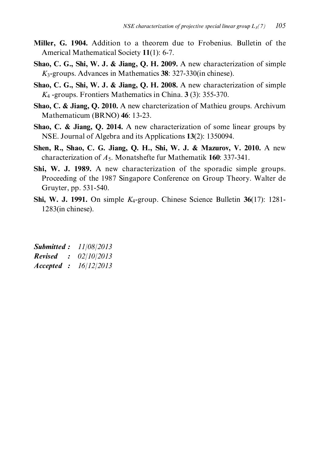- Miller, G. 1904. Addition to a theorem due to Frobenius. Bulletin of the Americal Mathematical Society 11(1): 6-7.
- Shao, C. G., Shi, W. J. & Jiang, Q. H. 2009. A new characterization of simple  $K_3$ -groups. Advances in Mathematics 38: 327-330(in chinese).
- Shao, C. G., Shi, W. J. & Jiang, Q. H. 2008. A new characterization of simple  $K_4$  -groups. Frontiers Mathematics in China. 3 (3): 355-370.
- Shao, C. & Jiang, Q. 2010. A new charcterization of Mathieu groups. Archivum Mathematicum (BRNO) 46: 13-23.
- **Shao, C. & Jiang, Q. 2014.** A new characterization of some linear groups by NSE. Journal of Algebra and its Applications 13(2): 1350094.
- Shen, R., Shao, C. G. Jiang, Q. H., Shi, W. J. & Mazurov, V. 2010. A new characterization of  $A_5$ . Monatshefte fur Mathematik 160: 337-341.
- Shi, W. J. 1989. A new characterization of the sporadic simple groups. Proceeding of the 1987 Singapore Conference on Group Theory. Walter de Gruyter, pp. 531-540.
- **Shi, W. J. 1991.** On simple  $K_4$ -group. Chinese Science Bulletin 36(17): 1281- $1283$ (in chinese).

| <b>Submitted:</b> | 11/08/2013 |
|-------------------|------------|
| <b>Revised</b>    | 02/10/2013 |
| Accepted :        | 16/12/2013 |